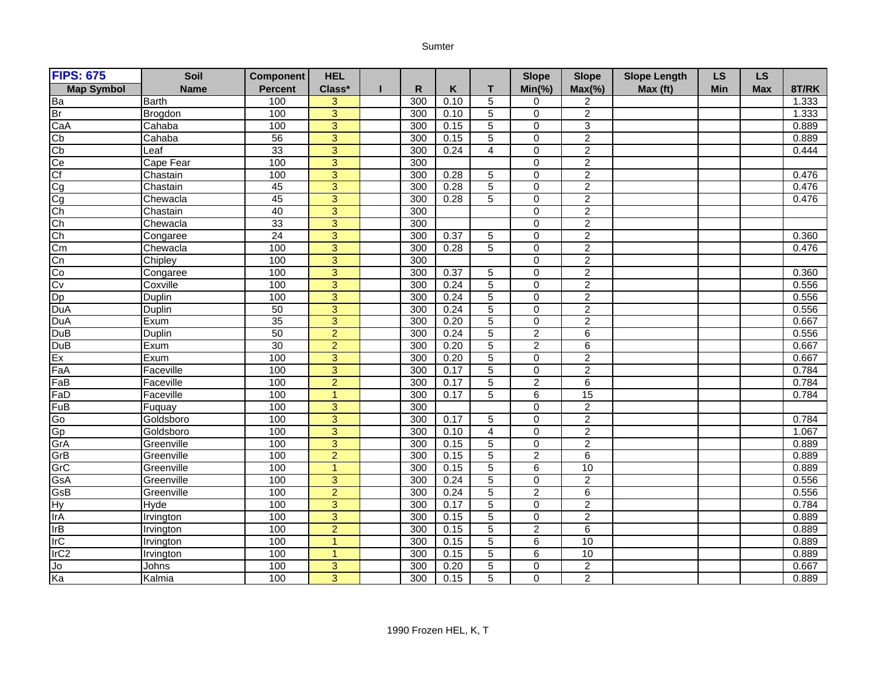## Sumter

| <b>FIPS: 675</b>  | Soil          | <b>Component</b> | <b>HEL</b>     |     |      |                | <b>Slope</b>   | <b>Slope</b>              | <b>Slope Length</b> | <b>LS</b> | <b>LS</b>  |       |
|-------------------|---------------|------------------|----------------|-----|------|----------------|----------------|---------------------------|---------------------|-----------|------------|-------|
| <b>Map Symbol</b> | <b>Name</b>   | <b>Percent</b>   | Class*         | R   | K    | т              | $Min(\% )$     | $Max(\% )$                | Max (ft)            | Min       | <b>Max</b> | 8T/RK |
| Ba                | <b>Barth</b>  | 100              | 3              | 300 | 0.10 | 5              | $\mathbf 0$    | 2                         |                     |           |            | 1.333 |
| Br                | Brogdon       | 100              | $\overline{3}$ | 300 | 0.10 | 5              | $\Omega$       | $\overline{2}$            |                     |           |            | 1.333 |
| CaA               | Cahaba        | 100              | 3              | 300 | 0.15 | 5              | $\pmb{0}$      | $\ensuremath{\mathsf{3}}$ |                     |           |            | 0.889 |
| Cp                | Cahaba        | 56               | $\overline{3}$ | 300 | 0.15 | $\overline{5}$ | $\mathbf 0$    | $\overline{2}$            |                     |           |            | 0.889 |
| Cb                | Leaf          | 33               | $\overline{3}$ | 300 | 0.24 | $\overline{4}$ | $\overline{0}$ | $\overline{2}$            |                     |           |            | 0.444 |
| Ce                | Cape Fear     | 100              | $\overline{3}$ | 300 |      |                | $\mathbf 0$    | $\overline{2}$            |                     |           |            |       |
| Cf                | Chastain      | 100              | $\overline{3}$ | 300 | 0.28 | 5              | $\overline{0}$ | $\overline{2}$            |                     |           |            | 0.476 |
| Cg                | Chastain      | 45               | 3              | 300 | 0.28 | 5              | $\mathbf 0$    | $\overline{c}$            |                     |           |            | 0.476 |
| Cg                | Chewacla      | 45               | $\overline{3}$ | 300 | 0.28 | $\overline{5}$ | $\overline{0}$ | $\overline{2}$            |                     |           |            | 0.476 |
| $\overline{ch}$   | Chastain      | 40               | $\overline{3}$ | 300 |      |                | $\overline{0}$ | $\overline{2}$            |                     |           |            |       |
| Ch                | Chewacla      | 33               | $\overline{3}$ | 300 |      |                | $\overline{0}$ | $\overline{2}$            |                     |           |            |       |
| Ch                | Congaree      | $\overline{24}$  | $\overline{3}$ | 300 | 0.37 | 5              | $\overline{0}$ | $\overline{2}$            |                     |           |            | 0.360 |
| Cm                | Chewacla      | 100              | 3              | 300 | 0.28 | 5              | $\mathbf 0$    | $\overline{c}$            |                     |           |            | 0.476 |
| Cn                | Chipley       | 100              | 3              | 300 |      |                | $\mathbf 0$    | $\overline{2}$            |                     |           |            |       |
| Co                | Congaree      | 100              | $\overline{3}$ | 300 | 0.37 | 5              | $\mathbf 0$    | $\overline{2}$            |                     |           |            | 0.360 |
| Cv                | Coxville      | 100              | $\overline{3}$ | 300 | 0.24 | $\overline{5}$ | $\mathbf 0$    | $\overline{2}$            |                     |           |            | 0.556 |
| Dp                | <b>Duplin</b> | 100              | $\overline{3}$ | 300 | 0.24 | 5              | $\mathbf 0$    | $\overline{c}$            |                     |           |            | 0.556 |
| DuA               | <b>Duplin</b> | 50               | $\overline{3}$ | 300 | 0.24 | $\overline{5}$ | $\overline{0}$ | $\overline{2}$            |                     |           |            | 0.556 |
| <b>DuA</b>        | Exum          | 35               | 3              | 300 | 0.20 | 5              | $\Omega$       | $\overline{2}$            |                     |           |            | 0.667 |
| DuB               | Duplin        | 50               | $\overline{2}$ | 300 | 0.24 | 5              | $\overline{2}$ | 6                         |                     |           |            | 0.556 |
| <b>DuB</b>        | Exum          | 30               | $\overline{2}$ | 300 | 0.20 | 5              | $\sqrt{2}$     | 6                         |                     |           |            | 0.667 |
| Ex                | Exum          | 100              | $\overline{3}$ | 300 | 0.20 | $\overline{5}$ | $\overline{0}$ | $\overline{2}$            |                     |           |            | 0.667 |
| FaA               | Faceville     | 100              | $\overline{3}$ | 300 | 0.17 | $\overline{5}$ | $\mathbf 0$    | $\overline{2}$            |                     |           |            | 0.784 |
| FaB               | Faceville     | 100              | $\overline{2}$ | 300 | 0.17 | $\overline{5}$ | $\overline{2}$ | 6                         |                     |           |            | 0.784 |
| FaD               | Faceville     | 100              | 1              | 300 | 0.17 | 5              | $\,6$          | 15                        |                     |           |            | 0.784 |
| FuB               | Fuquay        | 100              | $\overline{3}$ | 300 |      |                | $\mathbf 0$    | $\overline{2}$            |                     |           |            |       |
| Go                | Goldsboro     | 100              | $\overline{3}$ | 300 | 0.17 | 5              | $\mathbf 0$    | $\overline{2}$            |                     |           |            | 0.784 |
| Gp                | Goldsboro     | 100              | $\overline{3}$ | 300 | 0.10 | 4              | $\overline{0}$ | $\overline{2}$            |                     |           |            | 1.067 |
| GrA               | Greenville    | 100              | $\overline{3}$ | 300 | 0.15 | 5              | $\mathbf 0$    | $\overline{2}$            |                     |           |            | 0.889 |
| GrB               | Greenville    | 100              | $\overline{2}$ | 300 | 0.15 | $\overline{5}$ | $\overline{2}$ | 6                         |                     |           |            | 0.889 |
| GrC               | Greenville    | 100              | $\overline{1}$ | 300 | 0.15 | $\overline{5}$ | $\overline{6}$ | 10                        |                     |           |            | 0.889 |
| GsA               | Greenville    | 100              | $\overline{3}$ | 300 | 0.24 | 5              | $\mathbf 0$    | $\overline{2}$            |                     |           |            | 0.556 |
| GsB               | Greenville    | 100              | $\overline{2}$ | 300 | 0.24 | $\overline{5}$ | $\overline{2}$ | $\overline{6}$            |                     |           |            | 0.556 |
| <b>Hy</b>         | <b>Hyde</b>   | 100              | $\overline{3}$ | 300 | 0.17 | $\overline{5}$ | $\mathbf 0$    | $\overline{2}$            |                     |           |            | 0.784 |
| <b>IrA</b>        | Irvington     | 100              | $\overline{3}$ | 300 | 0.15 | $\overline{5}$ | $\overline{0}$ | $\overline{2}$            |                     |           |            | 0.889 |
| <b>IrB</b>        | Irvington     | 100              | $\overline{2}$ | 300 | 0.15 | 5              | $\overline{2}$ | 6                         |                     |           |            | 0.889 |
| <b>IrC</b>        | Irvington     | 100              | $\overline{1}$ | 300 | 0.15 | 5              | $\,6\,$        | 10                        |                     |           |            | 0.889 |
| IrC <sub>2</sub>  | Irvington     | 100              | 1              | 300 | 0.15 | 5              | $\overline{6}$ | 10                        |                     |           |            | 0.889 |
| Jo<br>Ka          | Johns         | 100              | 3              | 300 | 0.20 | $\overline{5}$ | $\mathbf 0$    | $\overline{c}$            |                     |           |            | 0.667 |
|                   | Kalmia        | 100              | $\overline{3}$ | 300 | 0.15 | $\overline{5}$ | $\Omega$       | $\overline{2}$            |                     |           |            | 0.889 |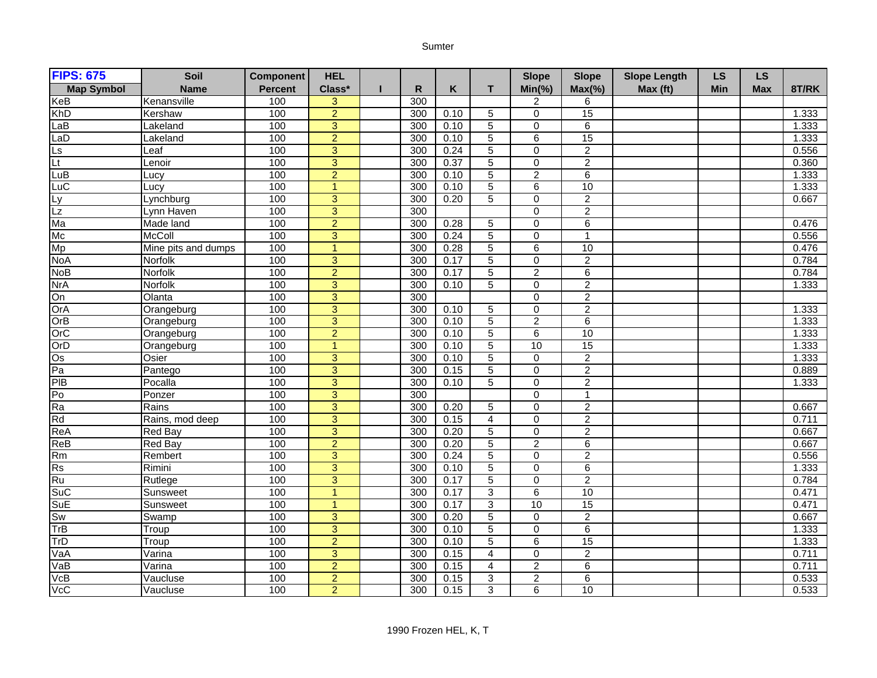## Sumter

| <b>FIPS: 675</b>  | Soil                | <b>Component</b> | <b>HEL</b>     |     |      |                | <b>Slope</b>   | <b>Slope</b>     | <b>Slope Length</b> | <b>LS</b> | <b>LS</b>  |       |
|-------------------|---------------------|------------------|----------------|-----|------|----------------|----------------|------------------|---------------------|-----------|------------|-------|
| <b>Map Symbol</b> | <b>Name</b>         | <b>Percent</b>   | Class*         | R   | Κ    | т              | $Min(\% )$     | $Max(\% )$       | Max (ft)            | Min       | <b>Max</b> | 8T/RK |
| KeB               | Kenansville         | 100              | $\overline{3}$ | 300 |      |                | 2              | 6                |                     |           |            |       |
| <b>KhD</b>        | Kershaw             | 100              | $\overline{2}$ | 300 | 0.10 | $\overline{5}$ | $\overline{0}$ | 15               |                     |           |            | 1.333 |
| LaB               | Lakeland            | 100              | 3              | 300 | 0.10 | 5              | $\mathbf 0$    | 6                |                     |           |            | 1.333 |
| LaD               | Lakeland            | 100              | $\overline{2}$ | 300 | 0.10 | $\overline{5}$ | $\overline{6}$ | 15               |                     |           |            | 1.333 |
| Ls                | Leaf                | 100              | 3              | 300 | 0.24 | $\overline{5}$ | $\mathbf 0$    | $\overline{c}$   |                     |           |            | 0.556 |
| Lt                | Lenoir              | 100              | $\overline{3}$ | 300 | 0.37 | $\overline{5}$ | $\overline{0}$ | $\overline{2}$   |                     |           |            | 0.360 |
| LuB               | Lucy                | 100              | $\overline{2}$ | 300 | 0.10 | $\overline{5}$ | $\overline{2}$ | $\overline{6}$   |                     |           |            | 1.333 |
| LuC               | Lucy                | 100              | $\overline{1}$ | 300 | 0.10 | $\overline{5}$ | $\overline{6}$ | 10               |                     |           |            | 1.333 |
| Ly                | Lynchburg           | 100              | $\overline{3}$ | 300 | 0.20 | $\overline{5}$ | $\overline{0}$ | $\overline{2}$   |                     |           |            | 0.667 |
| $\overline{Lz}$   | Lynn Haven          | 100              | 3              | 300 |      |                | $\mathbf 0$    | $\boldsymbol{2}$ |                     |           |            |       |
| Ma                | Made land           | 100              | $\overline{2}$ | 300 | 0.28 | 5              | $\mathbf 0$    | $\overline{6}$   |                     |           |            | 0.476 |
| Mc                | McColl              | 100              | 3              | 300 | 0.24 | $\overline{5}$ | $\mathbf 0$    | $\mathbf{1}$     |                     |           |            | 0.556 |
| Mp                | Mine pits and dumps | 100              | $\mathbf{1}$   | 300 | 0.28 | $\overline{5}$ | 6              | 10               |                     |           |            | 0.476 |
| <b>NoA</b>        | <b>Norfolk</b>      | 100              | $\overline{3}$ | 300 | 0.17 | $\overline{5}$ | $\mathbf 0$    | $\overline{2}$   |                     |           |            | 0.784 |
| <b>NoB</b>        | Norfolk             | 100              | $\overline{2}$ | 300 | 0.17 | $\overline{5}$ | $\overline{2}$ | $\overline{6}$   |                     |           |            | 0.784 |
| <b>NrA</b>        | Norfolk             | 100              | 3              | 300 | 0.10 | 5              | $\mathbf 0$    | $\overline{2}$   |                     |           |            | 1.333 |
| On                | Olanta              | 100              | 3              | 300 |      |                | $\mathbf 0$    | $\overline{c}$   |                     |           |            |       |
| OrA               | Orangeburg          | 100              | $\overline{3}$ | 300 | 0.10 | 5              | $\mathbf 0$    | $\overline{c}$   |                     |           |            | 1.333 |
| OrB               | Orangeburg          | 100              | $\overline{3}$ | 300 | 0.10 | $\overline{5}$ | $\overline{2}$ | $\overline{6}$   |                     |           |            | 1.333 |
| OrC               | Orangeburg          | 100              | $\overline{2}$ | 300 | 0.10 | 5              | 6              | 10               |                     |           |            | 1.333 |
| OrD               | Orangeburg          | 100              | $\overline{1}$ | 300 | 0.10 | 5              | 10             | 15               |                     |           |            | 1.333 |
| $\overline{Os}$   | Osier               | 100              | $\overline{3}$ | 300 | 0.10 | $\overline{5}$ | $\overline{0}$ | $\overline{2}$   |                     |           |            | 1.333 |
| Pa                | Pantego             | 100              | $\overline{3}$ | 300 | 0.15 | $\overline{5}$ | $\mathbf 0$    | $\overline{2}$   |                     |           |            | 0.889 |
| PIB               | Pocalla             | 100              | 3              | 300 | 0.10 | $\overline{5}$ | $\mathbf 0$    | $\overline{2}$   |                     |           |            | 1.333 |
| P <sub>o</sub>    | Ponzer              | 100              | $\overline{3}$ | 300 |      |                | $\mathbf 0$    | 1                |                     |           |            |       |
| Ra                | Rains               | 100              | $\overline{3}$ | 300 | 0.20 | 5              | $\mathbf 0$    | $\overline{2}$   |                     |           |            | 0.667 |
| Rd                | Rains, mod deep     | 100              | $\overline{3}$ | 300 | 0.15 | $\overline{4}$ | $\overline{0}$ | $\overline{2}$   |                     |           |            | 0.711 |
| ReA               | <b>Red Bay</b>      | 100              | 3              | 300 | 0.20 | $\overline{5}$ | $\pmb{0}$      | $\overline{2}$   |                     |           |            | 0.667 |
| ReB               | <b>Red Bay</b>      | 100              | $\overline{2}$ | 300 | 0.20 | $\overline{5}$ | $\overline{2}$ | $\overline{6}$   |                     |           |            | 0.667 |
| Rm                | Rembert             | 100              | $\overline{3}$ | 300 | 0.24 | $\overline{5}$ | $\overline{0}$ | $\overline{2}$   |                     |           |            | 0.556 |
| Rs                | Rimini              | 100              | $\overline{3}$ | 300 | 0.10 | $\overline{5}$ | $\overline{0}$ | 6                |                     |           |            | 1.333 |
| Ru                | Rutlege             | 100              | $\overline{3}$ | 300 | 0.17 | $\overline{5}$ | $\mathbf 0$    | $\overline{2}$   |                     |           |            | 0.784 |
| SuC               | Sunsweet            | 100              | $\mathbf{1}$   | 300 | 0.17 | $\overline{3}$ | $\overline{6}$ | 10               |                     |           |            | 0.471 |
| SuE               | Sunsweet            | 100              | $\mathbf{1}$   | 300 | 0.17 | $\overline{3}$ | 10             | 15               |                     |           |            | 0.471 |
| Sw                | Swamp               | 100              | 3              | 300 | 0.20 | $\overline{5}$ | $\pmb{0}$      | $\overline{2}$   |                     |           |            | 0.667 |
| TrB               | Troup               | 100              | $\overline{3}$ | 300 | 0.10 | $\overline{5}$ | $\overline{0}$ | $\overline{6}$   |                     |           |            | 1.333 |
| TrD               | Troup               | 100              | $\overline{2}$ | 300 | 0.10 | $\overline{5}$ | $\overline{6}$ | 15               |                     |           |            | 1.333 |
| VaA               | Varina              | 100              | $\overline{3}$ | 300 | 0.15 | $\overline{4}$ | $\mathbf 0$    | $\overline{2}$   |                     |           |            | 0.711 |
| VaB               | Varina              | 100              | $\overline{2}$ | 300 | 0.15 | 4              | $\overline{2}$ | 6                |                     |           |            | 0.711 |
| VCB               | Vaucluse            | 100              | $\overline{2}$ | 300 | 0.15 | $\overline{3}$ | $\overline{2}$ | $\overline{6}$   |                     |           |            | 0.533 |
| VcC               | Vaucluse            | 100              | $\overline{2}$ | 300 | 0.15 | 3              | 6              | 10               |                     |           |            | 0.533 |